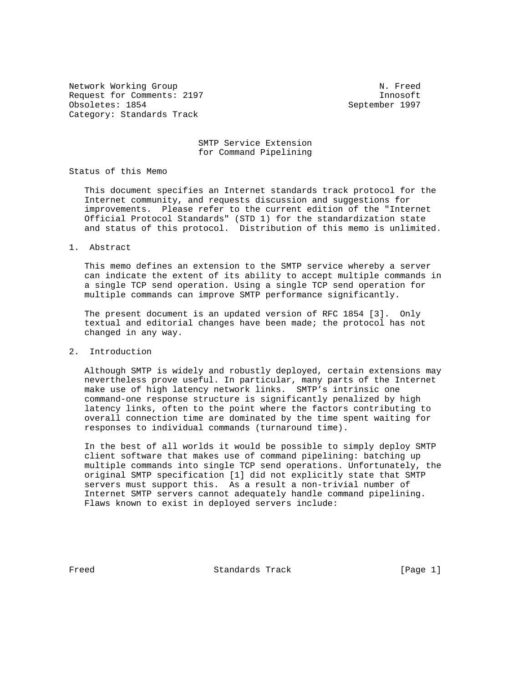Network Working Group Network Working Group Network Network Network Network Network Network Request for Comments: 2197 **Innosoft** Obsoletes: 1854 September 1997 Category: Standards Track

 SMTP Service Extension for Command Pipelining

Status of this Memo

 This document specifies an Internet standards track protocol for the Internet community, and requests discussion and suggestions for improvements. Please refer to the current edition of the "Internet Official Protocol Standards" (STD 1) for the standardization state and status of this protocol. Distribution of this memo is unlimited.

1. Abstract

 This memo defines an extension to the SMTP service whereby a server can indicate the extent of its ability to accept multiple commands in a single TCP send operation. Using a single TCP send operation for multiple commands can improve SMTP performance significantly.

 The present document is an updated version of RFC 1854 [3]. Only textual and editorial changes have been made; the protocol has not changed in any way.

2. Introduction

 Although SMTP is widely and robustly deployed, certain extensions may nevertheless prove useful. In particular, many parts of the Internet make use of high latency network links. SMTP's intrinsic one command-one response structure is significantly penalized by high latency links, often to the point where the factors contributing to overall connection time are dominated by the time spent waiting for responses to individual commands (turnaround time).

 In the best of all worlds it would be possible to simply deploy SMTP client software that makes use of command pipelining: batching up multiple commands into single TCP send operations. Unfortunately, the original SMTP specification [1] did not explicitly state that SMTP servers must support this. As a result a non-trivial number of Internet SMTP servers cannot adequately handle command pipelining. Flaws known to exist in deployed servers include:

Freed Standards Track [Page 1]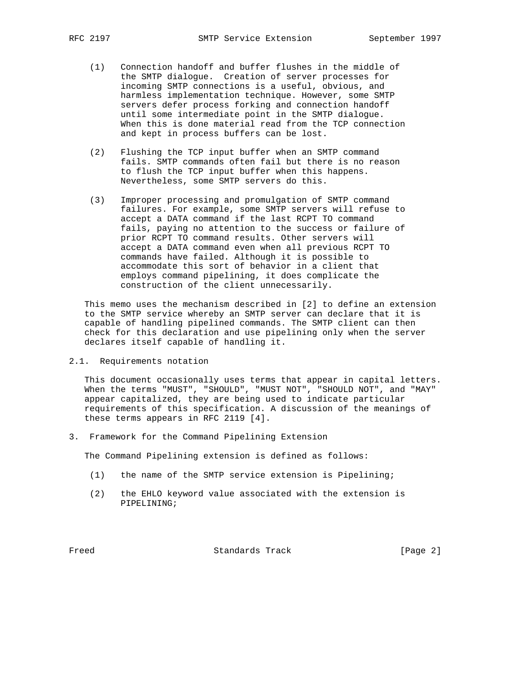- (1) Connection handoff and buffer flushes in the middle of the SMTP dialogue. Creation of server processes for incoming SMTP connections is a useful, obvious, and harmless implementation technique. However, some SMTP servers defer process forking and connection handoff until some intermediate point in the SMTP dialogue. When this is done material read from the TCP connection and kept in process buffers can be lost.
- (2) Flushing the TCP input buffer when an SMTP command fails. SMTP commands often fail but there is no reason to flush the TCP input buffer when this happens. Nevertheless, some SMTP servers do this.
- (3) Improper processing and promulgation of SMTP command failures. For example, some SMTP servers will refuse to accept a DATA command if the last RCPT TO command fails, paying no attention to the success or failure of prior RCPT TO command results. Other servers will accept a DATA command even when all previous RCPT TO commands have failed. Although it is possible to accommodate this sort of behavior in a client that employs command pipelining, it does complicate the construction of the client unnecessarily.

 This memo uses the mechanism described in [2] to define an extension to the SMTP service whereby an SMTP server can declare that it is capable of handling pipelined commands. The SMTP client can then check for this declaration and use pipelining only when the server declares itself capable of handling it.

2.1. Requirements notation

 This document occasionally uses terms that appear in capital letters. When the terms "MUST", "SHOULD", "MUST NOT", "SHOULD NOT", and "MAY" appear capitalized, they are being used to indicate particular requirements of this specification. A discussion of the meanings of these terms appears in RFC 2119 [4].

3. Framework for the Command Pipelining Extension

The Command Pipelining extension is defined as follows:

- (1) the name of the SMTP service extension is Pipelining;
- (2) the EHLO keyword value associated with the extension is PIPELINING;

Freed Standards Track [Page 2]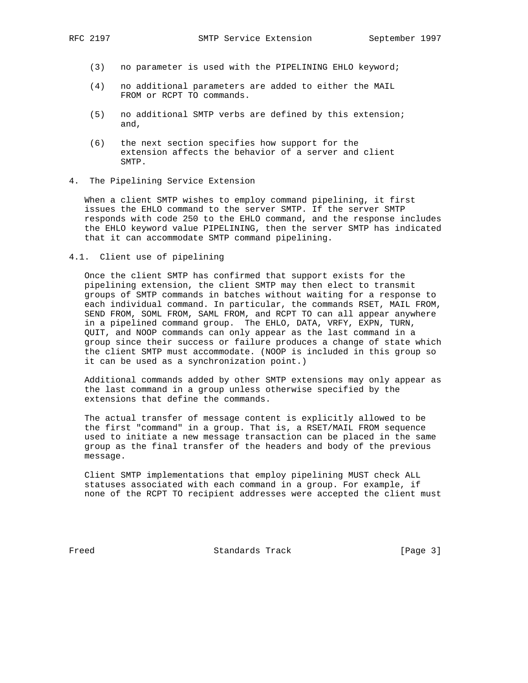- (3) no parameter is used with the PIPELINING EHLO keyword;
- (4) no additional parameters are added to either the MAIL FROM or RCPT TO commands.
- (5) no additional SMTP verbs are defined by this extension; and,
- (6) the next section specifies how support for the extension affects the behavior of a server and client SMTP.
- 4. The Pipelining Service Extension

 When a client SMTP wishes to employ command pipelining, it first issues the EHLO command to the server SMTP. If the server SMTP responds with code 250 to the EHLO command, and the response includes the EHLO keyword value PIPELINING, then the server SMTP has indicated that it can accommodate SMTP command pipelining.

4.1. Client use of pipelining

 Once the client SMTP has confirmed that support exists for the pipelining extension, the client SMTP may then elect to transmit groups of SMTP commands in batches without waiting for a response to each individual command. In particular, the commands RSET, MAIL FROM, SEND FROM, SOML FROM, SAML FROM, and RCPT TO can all appear anywhere in a pipelined command group. The EHLO, DATA, VRFY, EXPN, TURN, QUIT, and NOOP commands can only appear as the last command in a group since their success or failure produces a change of state which the client SMTP must accommodate. (NOOP is included in this group so it can be used as a synchronization point.)

 Additional commands added by other SMTP extensions may only appear as the last command in a group unless otherwise specified by the extensions that define the commands.

 The actual transfer of message content is explicitly allowed to be the first "command" in a group. That is, a RSET/MAIL FROM sequence used to initiate a new message transaction can be placed in the same group as the final transfer of the headers and body of the previous message.

 Client SMTP implementations that employ pipelining MUST check ALL statuses associated with each command in a group. For example, if none of the RCPT TO recipient addresses were accepted the client must

Freed Standards Track [Page 3]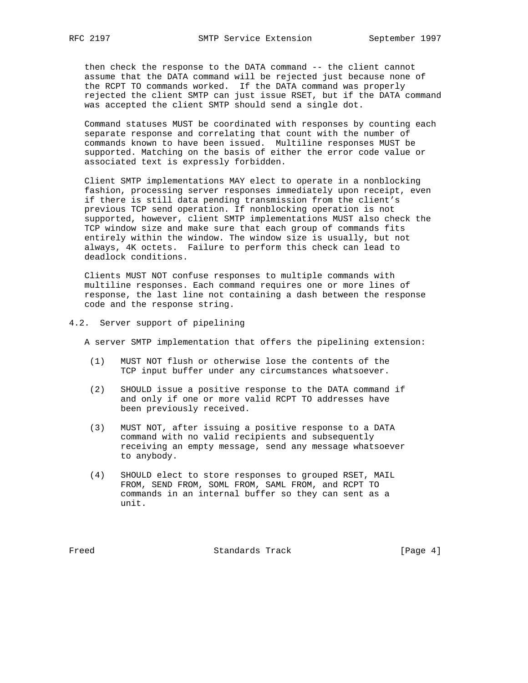then check the response to the DATA command -- the client cannot assume that the DATA command will be rejected just because none of the RCPT TO commands worked. If the DATA command was properly rejected the client SMTP can just issue RSET, but if the DATA command was accepted the client SMTP should send a single dot.

 Command statuses MUST be coordinated with responses by counting each separate response and correlating that count with the number of commands known to have been issued. Multiline responses MUST be supported. Matching on the basis of either the error code value or associated text is expressly forbidden.

 Client SMTP implementations MAY elect to operate in a nonblocking fashion, processing server responses immediately upon receipt, even if there is still data pending transmission from the client's previous TCP send operation. If nonblocking operation is not supported, however, client SMTP implementations MUST also check the TCP window size and make sure that each group of commands fits entirely within the window. The window size is usually, but not always, 4K octets. Failure to perform this check can lead to deadlock conditions.

 Clients MUST NOT confuse responses to multiple commands with multiline responses. Each command requires one or more lines of response, the last line not containing a dash between the response code and the response string.

4.2. Server support of pipelining

A server SMTP implementation that offers the pipelining extension:

- (1) MUST NOT flush or otherwise lose the contents of the TCP input buffer under any circumstances whatsoever.
- (2) SHOULD issue a positive response to the DATA command if and only if one or more valid RCPT TO addresses have been previously received.
- (3) MUST NOT, after issuing a positive response to a DATA command with no valid recipients and subsequently receiving an empty message, send any message whatsoever to anybody.
- (4) SHOULD elect to store responses to grouped RSET, MAIL FROM, SEND FROM, SOML FROM, SAML FROM, and RCPT TO commands in an internal buffer so they can sent as a unit.

Freed Standards Track [Page 4]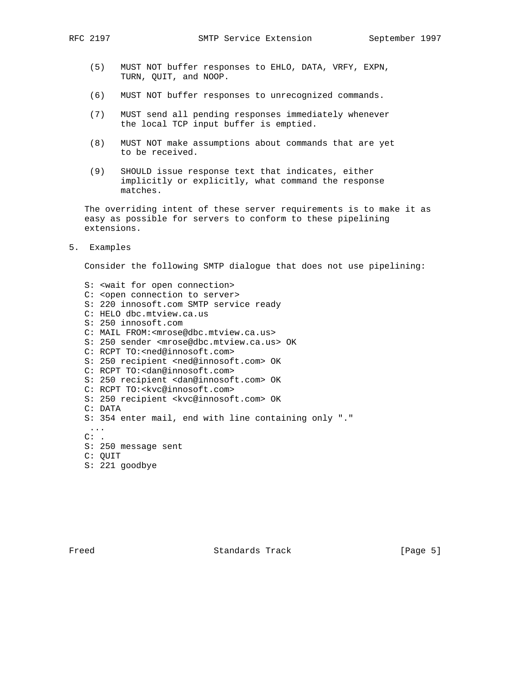- (5) MUST NOT buffer responses to EHLO, DATA, VRFY, EXPN, TURN, QUIT, and NOOP.
- (6) MUST NOT buffer responses to unrecognized commands.
- (7) MUST send all pending responses immediately whenever the local TCP input buffer is emptied.
- (8) MUST NOT make assumptions about commands that are yet to be received.
- (9) SHOULD issue response text that indicates, either implicitly or explicitly, what command the response matches.

 The overriding intent of these server requirements is to make it as easy as possible for servers to conform to these pipelining extensions.

5. Examples

Consider the following SMTP dialogue that does not use pipelining:

 S: <wait for open connection> C: <open connection to server> S: 220 innosoft.com SMTP service ready C: HELO dbc.mtview.ca.us S: 250 innosoft.com C: MAIL FROM:<mrose@dbc.mtview.ca.us> S: 250 sender <mrose@dbc.mtview.ca.us> OK C: RCPT TO:<ned@innosoft.com> S: 250 recipient <ned@innosoft.com> OK C: RCPT TO:<dan@innosoft.com> S: 250 recipient <dan@innosoft.com> OK C: RCPT TO:<kvc@innosoft.com> S: 250 recipient <kvc@innosoft.com> OK C: DATA S: 354 enter mail, end with line containing only "." ...  $C:$  . S: 250 message sent C: QUIT S: 221 goodbye

Freed Standards Track [Page 5]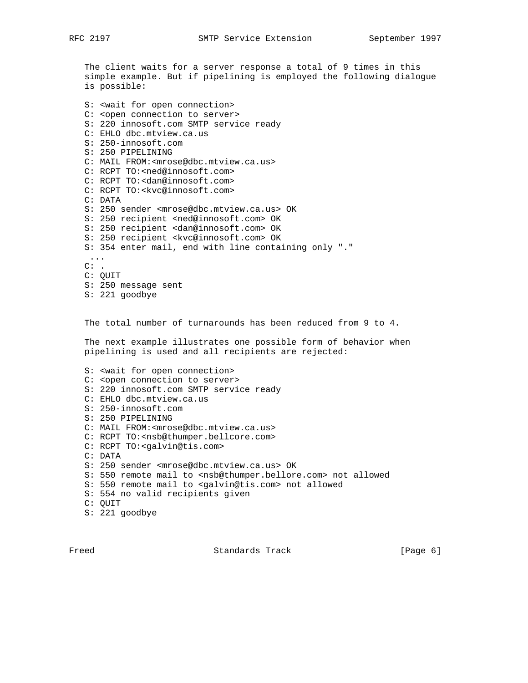The client waits for a server response a total of 9 times in this simple example. But if pipelining is employed the following dialogue is possible: S: <wait for open connection> C: <open connection to server> S: 220 innosoft.com SMTP service ready C: EHLO dbc.mtview.ca.us S: 250-innosoft.com S: 250 PIPELINING C: MAIL FROM:<mrose@dbc.mtview.ca.us> C: RCPT TO:<ned@innosoft.com> C: RCPT TO:<dan@innosoft.com> C: RCPT TO:<kvc@innosoft.com> C: DATA S: 250 sender <mrose@dbc.mtview.ca.us> OK S: 250 recipient <ned@innosoft.com> OK S: 250 recipient <dan@innosoft.com> OK S: 250 recipient <kvc@innosoft.com> OK

 S: 354 enter mail, end with line containing only "." ...  $C:$  .

 C: QUIT S: 250 message sent S: 221 goodbye

The total number of turnarounds has been reduced from 9 to 4.

 The next example illustrates one possible form of behavior when pipelining is used and all recipients are rejected:

 S: <wait for open connection> C: <open connection to server> S: 220 innosoft.com SMTP service ready C: EHLO dbc.mtview.ca.us S: 250-innosoft.com S: 250 PIPELINING C: MAIL FROM:<mrose@dbc.mtview.ca.us> C: RCPT TO:<nsb@thumper.bellcore.com> C: RCPT TO:<galvin@tis.com> C: DATA S: 250 sender <mrose@dbc.mtview.ca.us> OK S: 550 remote mail to <nsb@thumper.bellore.com> not allowed S: 550 remote mail to <galvin@tis.com> not allowed S: 554 no valid recipients given C: QUIT S: 221 goodbye

Freed Standards Track [Page 6]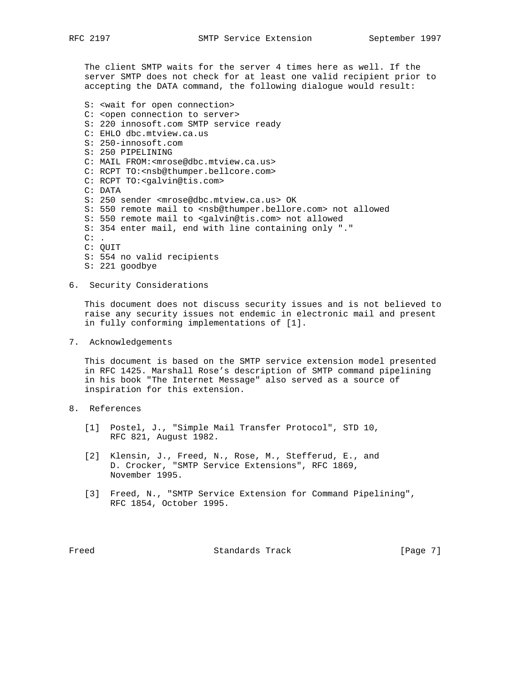The client SMTP waits for the server 4 times here as well. If the server SMTP does not check for at least one valid recipient prior to accepting the DATA command, the following dialogue would result:

- S: <wait for open connection> C: <open connection to server> S: 220 innosoft.com SMTP service ready C: EHLO dbc.mtview.ca.us S: 250-innosoft.com S: 250 PIPELINING C: MAIL FROM:<mrose@dbc.mtview.ca.us> C: RCPT TO:<nsb@thumper.bellcore.com> C: RCPT TO:<galvin@tis.com> C: DATA S: 250 sender <mrose@dbc.mtview.ca.us> OK S: 550 remote mail to <nsb@thumper.bellore.com> not allowed S: 550 remote mail to <galvin@tis.com> not allowed S: 354 enter mail, end with line containing only "."  $C:$  . C: QUIT S: 554 no valid recipients S: 221 goodbye
- 6. Security Considerations

 This document does not discuss security issues and is not believed to raise any security issues not endemic in electronic mail and present in fully conforming implementations of [1].

7. Acknowledgements

 This document is based on the SMTP service extension model presented in RFC 1425. Marshall Rose's description of SMTP command pipelining in his book "The Internet Message" also served as a source of inspiration for this extension.

- 8. References
	- [1] Postel, J., "Simple Mail Transfer Protocol", STD 10, RFC 821, August 1982.
	- [2] Klensin, J., Freed, N., Rose, M., Stefferud, E., and D. Crocker, "SMTP Service Extensions", RFC 1869, November 1995.
	- [3] Freed, N., "SMTP Service Extension for Command Pipelining", RFC 1854, October 1995.

Freed Standards Track [Page 7]